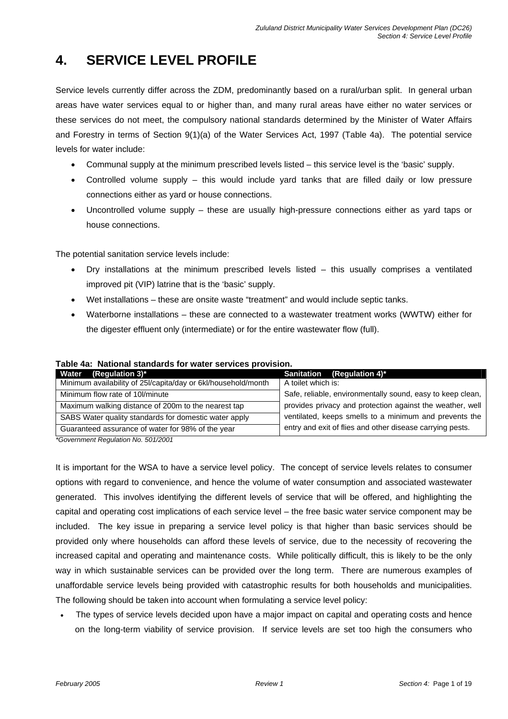# **4. SERVICE LEVEL PROFILE**

Service levels currently differ across the ZDM, predominantly based on a rural/urban split. In general urban areas have water services equal to or higher than, and many rural areas have either no water services or these services do not meet, the compulsory national standards determined by the Minister of Water Affairs and Forestry in terms of Section 9(1)(a) of the Water Services Act, 1997 (Table 4a). The potential service levels for water include:

- Communal supply at the minimum prescribed levels listed this service level is the 'basic' supply.
- Controlled volume supply this would include yard tanks that are filled daily or low pressure connections either as yard or house connections.
- Uncontrolled volume supply these are usually high-pressure connections either as yard taps or house connections.

The potential sanitation service levels include:

- Dry installations at the minimum prescribed levels listed this usually comprises a ventilated improved pit (VIP) latrine that is the 'basic' supply.
- Wet installations these are onsite waste "treatment" and would include septic tanks.
- Waterborne installations these are connected to a wastewater treatment works (WWTW) either for the digester effluent only (intermediate) or for the entire wastewater flow (full).

| (Regulation 3) $^*$<br>Water                                  | Sanitation (Regulation 4)*                                 |
|---------------------------------------------------------------|------------------------------------------------------------|
| Minimum availability of 25I/capita/day or 6kl/household/month | A toilet which is:                                         |
| Minimum flow rate of 10/minute                                | Safe, reliable, environmentally sound, easy to keep clean, |
| Maximum walking distance of 200m to the nearest tap           | provides privacy and protection against the weather, well  |
| SABS Water quality standards for domestic water apply         | ventilated, keeps smells to a minimum and prevents the     |
| Guaranteed assurance of water for 98% of the year             | entry and exit of flies and other disease carrying pests.  |

#### **Table 4a: National standards for water services provision.**

*\*Government Regulation No. 501/2001* 

It is important for the WSA to have a service level policy. The concept of service levels relates to consumer options with regard to convenience, and hence the volume of water consumption and associated wastewater generated. This involves identifying the different levels of service that will be offered, and highlighting the capital and operating cost implications of each service level – the free basic water service component may be included. The key issue in preparing a service level policy is that higher than basic services should be provided only where households can afford these levels of service, due to the necessity of recovering the increased capital and operating and maintenance costs. While politically difficult, this is likely to be the only way in which sustainable services can be provided over the long term. There are numerous examples of unaffordable service levels being provided with catastrophic results for both households and municipalities. The following should be taken into account when formulating a service level policy:

• The types of service levels decided upon have a major impact on capital and operating costs and hence on the long-term viability of service provision. If service levels are set too high the consumers who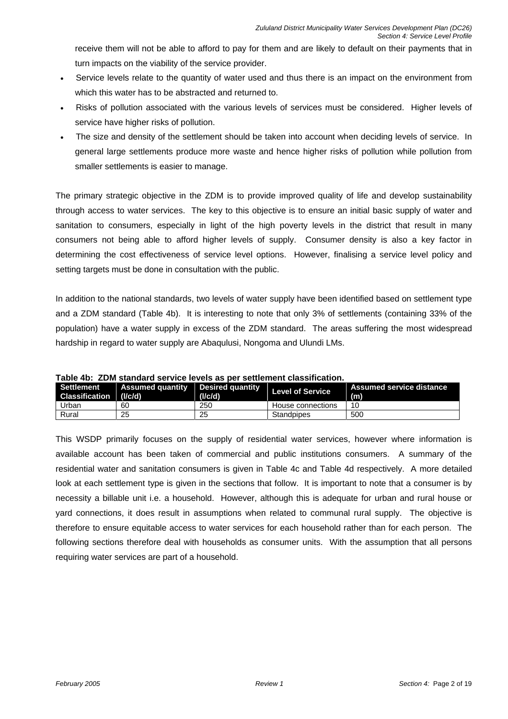receive them will not be able to afford to pay for them and are likely to default on their payments that in turn impacts on the viability of the service provider.

- Service levels relate to the quantity of water used and thus there is an impact on the environment from which this water has to be abstracted and returned to.
- Risks of pollution associated with the various levels of services must be considered. Higher levels of service have higher risks of pollution.
- The size and density of the settlement should be taken into account when deciding levels of service. In general large settlements produce more waste and hence higher risks of pollution while pollution from smaller settlements is easier to manage.

The primary strategic objective in the ZDM is to provide improved quality of life and develop sustainability through access to water services. The key to this objective is to ensure an initial basic supply of water and sanitation to consumers, especially in light of the high poverty levels in the district that result in many consumers not being able to afford higher levels of supply. Consumer density is also a key factor in determining the cost effectiveness of service level options. However, finalising a service level policy and setting targets must be done in consultation with the public.

In addition to the national standards, two levels of water supply have been identified based on settlement type and a ZDM standard (Table 4b). It is interesting to note that only 3% of settlements (containing 33% of the population) have a water supply in excess of the ZDM standard. The areas suffering the most widespread hardship in regard to water supply are Abaqulusi, Nongoma and Ulundi LMs.

| Settlement<br>Classification (I/c/d) |    | (I/c/d) | Assumed quantity   Desired quantity   Level of Service | Assumed service distance<br>(m) |
|--------------------------------------|----|---------|--------------------------------------------------------|---------------------------------|
| Urban                                | 60 | 250     | House connections                                      | 10                              |
| Rural                                | 25 | 25      | <b>Standpipes</b>                                      | 500                             |

|  |  |  |  |  |  |  |  | Table 4b: ZDM standard service levels as per settlement classification. |
|--|--|--|--|--|--|--|--|-------------------------------------------------------------------------|
|--|--|--|--|--|--|--|--|-------------------------------------------------------------------------|

This WSDP primarily focuses on the supply of residential water services, however where information is available account has been taken of commercial and public institutions consumers. A summary of the residential water and sanitation consumers is given in Table 4c and Table 4d respectively. A more detailed look at each settlement type is given in the sections that follow. It is important to note that a consumer is by necessity a billable unit i.e. a household. However, although this is adequate for urban and rural house or yard connections, it does result in assumptions when related to communal rural supply. The objective is therefore to ensure equitable access to water services for each household rather than for each person. The following sections therefore deal with households as consumer units. With the assumption that all persons requiring water services are part of a household.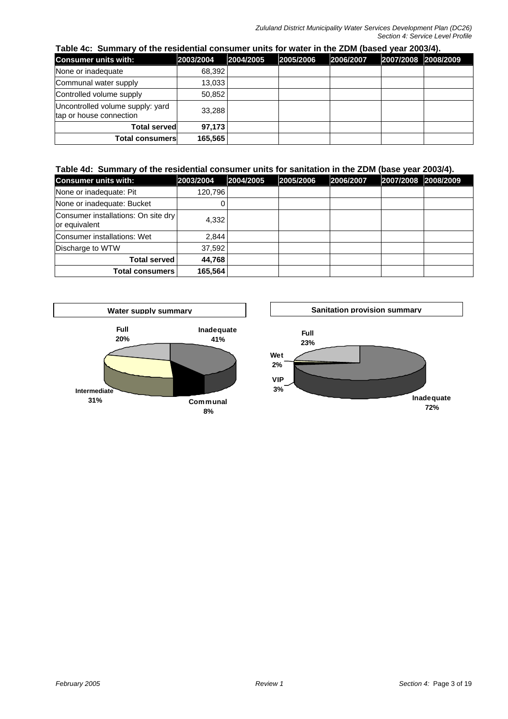|  |  | Table 4c: Summary of the residential consumer units for water in the ZDM (based year 2003/4). |  |  |  |
|--|--|-----------------------------------------------------------------------------------------------|--|--|--|
|--|--|-----------------------------------------------------------------------------------------------|--|--|--|

| <b>Consumer units with:</b>                                 | 2003/2004 | 2004/2005 | 2005/2006 | 2006/2007 | 2007/2008 2008/2009 |  |
|-------------------------------------------------------------|-----------|-----------|-----------|-----------|---------------------|--|
| None or inadequate                                          | 68,392    |           |           |           |                     |  |
| Communal water supply                                       | 13,033    |           |           |           |                     |  |
| Controlled volume supply                                    | 50,852    |           |           |           |                     |  |
| Uncontrolled volume supply: yard<br>tap or house connection | 33,288    |           |           |           |                     |  |
| <b>Total served</b>                                         | 97,173    |           |           |           |                     |  |
| <b>Total consumers</b>                                      | 165,565   |           |           |           |                     |  |

#### **Table 4d: Summary of the residential consumer units for sanitation in the ZDM (base year 2003/4).**

| <b>Consumer units with:</b>                          | 2003/2004 | 2004/2005 | 2005/2006 | 2006/2007 | 2007/2008 2008/2009 |
|------------------------------------------------------|-----------|-----------|-----------|-----------|---------------------|
| None or inadequate: Pit                              | 120,796   |           |           |           |                     |
| None or inadequate: Bucket                           | 0         |           |           |           |                     |
| Consumer installations: On site dry<br>or equivalent | 4,332     |           |           |           |                     |
| Consumer installations: Wet                          | 2,844     |           |           |           |                     |
| Discharge to WTW                                     | 37,592    |           |           |           |                     |
| <b>Total served</b>                                  | 44,768    |           |           |           |                     |
| Total consumers                                      | 165,564   |           |           |           |                     |



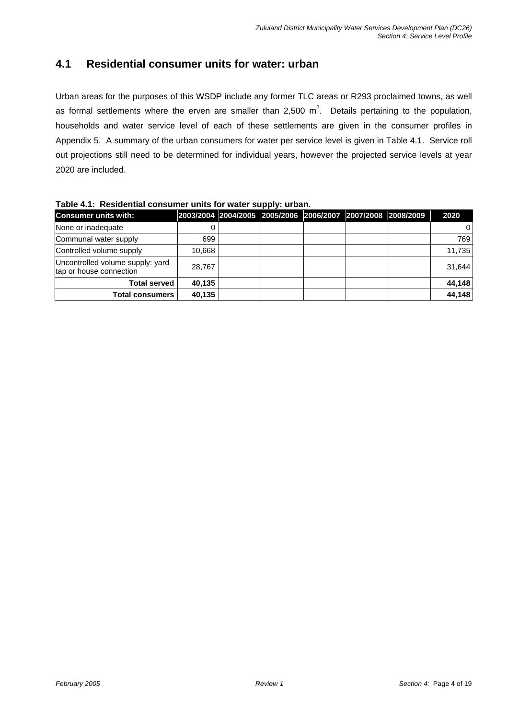### **4.1 Residential consumer units for water: urban**

Urban areas for the purposes of this WSDP include any former TLC areas or R293 proclaimed towns, as well as formal settlements where the erven are smaller than 2,500  $m^2$ . Details pertaining to the population, households and water service level of each of these settlements are given in the consumer profiles in Appendix 5. A summary of the urban consumers for water per service level is given in Table 4.1. Service roll out projections still need to be determined for individual years, however the projected service levels at year 2020 are included.

| <b>Consumer units with:</b>                                 |        | 2003/2004 2004/2005 2005/2006 2006/2007 2007/2008 2008/2009 |  |  | 2020   |
|-------------------------------------------------------------|--------|-------------------------------------------------------------|--|--|--------|
| None or inadequate                                          |        |                                                             |  |  | 0      |
| Communal water supply                                       | 699    |                                                             |  |  | 769    |
| Controlled volume supply                                    | 10,668 |                                                             |  |  | 11,735 |
| Uncontrolled volume supply: yard<br>tap or house connection | 28,767 |                                                             |  |  | 31,644 |
| <b>Total served</b>                                         | 40,135 |                                                             |  |  | 44,148 |
| <b>Total consumers</b>                                      | 40,135 |                                                             |  |  | 44,148 |

**Table 4.1: Residential consumer units for water supply: urban.**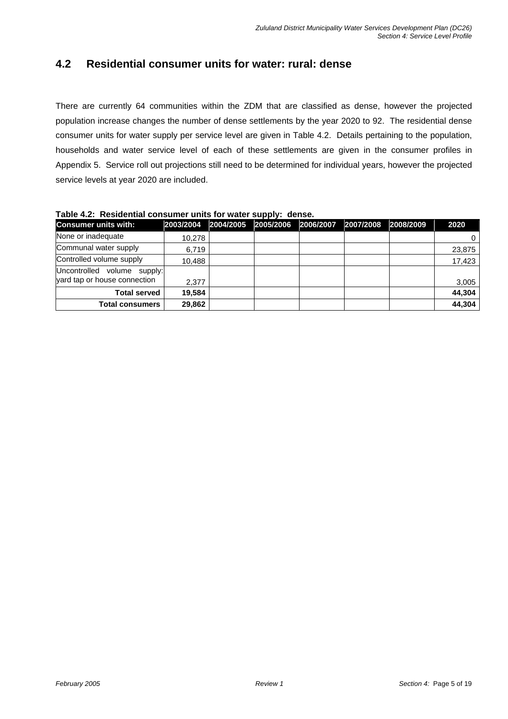#### **4.2 Residential consumer units for water: rural: dense**

There are currently 64 communities within the ZDM that are classified as dense, however the projected population increase changes the number of dense settlements by the year 2020 to 92. The residential dense consumer units for water supply per service level are given in Table 4.2. Details pertaining to the population, households and water service level of each of these settlements are given in the consumer profiles in Appendix 5. Service roll out projections still need to be determined for individual years, however the projected service levels at year 2020 are included.

| <b>Consumer units with:</b>                                 | 2003/2004 | 2004/2005 | .<br>2005/2006 | 2006/2007 | 2007/2008 | 2008/2009 | 2020   |
|-------------------------------------------------------------|-----------|-----------|----------------|-----------|-----------|-----------|--------|
| None or inadequate                                          | 10.278    |           |                |           |           |           |        |
| Communal water supply                                       | 6,719     |           |                |           |           |           | 23,875 |
| Controlled volume supply                                    | 10,488    |           |                |           |           |           | 17,423 |
| Uncontrolled volume supply:<br>vard tap or house connection | 2,377     |           |                |           |           |           | 3,005  |
| <b>Total served</b>                                         | 19,584    |           |                |           |           |           | 44,304 |
| <b>Total consumers</b>                                      | 29,862    |           |                |           |           |           | 44,304 |

**Table 4.2: Residential consumer units for water supply: dense.**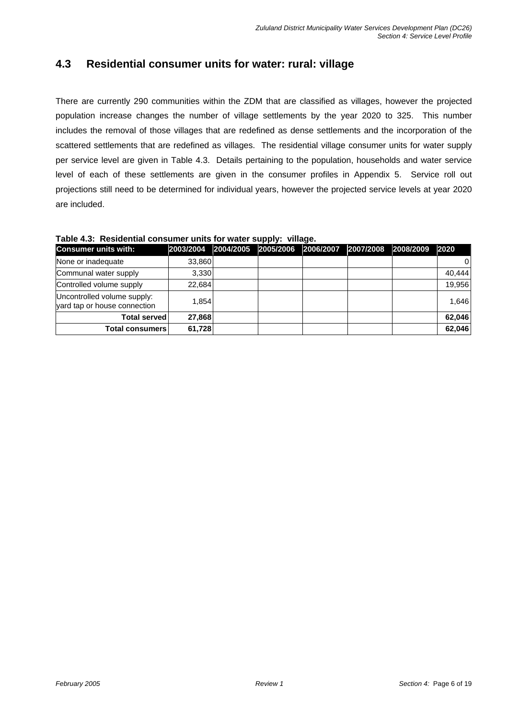#### **4.3 Residential consumer units for water: rural: village**

There are currently 290 communities within the ZDM that are classified as villages, however the projected population increase changes the number of village settlements by the year 2020 to 325. This number includes the removal of those villages that are redefined as dense settlements and the incorporation of the scattered settlements that are redefined as villages. The residential village consumer units for water supply per service level are given in Table 4.3. Details pertaining to the population, households and water service level of each of these settlements are given in the consumer profiles in Appendix 5. Service roll out projections still need to be determined for individual years, however the projected service levels at year 2020 are included.

#### **Table 4.3: Residential consumer units for water supply: village.**

| <b>Consumer units with:</b>                                 | 2003/2004 | 2004/2005 | 2005/2006 | 2006/2007 | 2007/2008 2008/2009 | 2020     |
|-------------------------------------------------------------|-----------|-----------|-----------|-----------|---------------------|----------|
| None or inadequate                                          | 33,860    |           |           |           |                     | $\Omega$ |
| Communal water supply                                       | 3.330     |           |           |           |                     | 40.444   |
| Controlled volume supply                                    | 22,684    |           |           |           |                     | 19,956   |
| Uncontrolled volume supply:<br>vard tap or house connection | 1,854     |           |           |           |                     | 1.646    |
| <b>Total served</b>                                         | 27,868    |           |           |           |                     | 62,046   |
| <b>Total consumers</b>                                      | 61,728    |           |           |           |                     | 62,046   |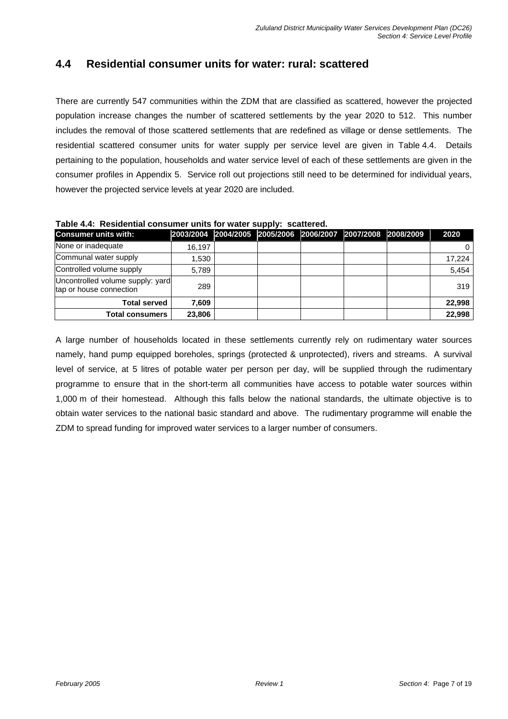#### **4.4 Residential consumer units for water: rural: scattered**

There are currently 547 communities within the ZDM that are classified as scattered, however the projected population increase changes the number of scattered settlements by the year 2020 to 512. This number includes the removal of those scattered settlements that are redefined as village or dense settlements. The residential scattered consumer units for water supply per service level are given in Table 4.4. Details pertaining to the population, households and water service level of each of these settlements are given in the consumer profiles in Appendix 5. Service roll out projections still need to be determined for individual years, however the projected service levels at year 2020 are included.

**Table 4.4: Residential consumer units for water supply: scattered.** 

| <b>Consumer units with:</b>                                 |        |  | 2003/2004 2004/2005 2005/2006 2006/2007 2007/2008 2008/2009 |  | 2020   |
|-------------------------------------------------------------|--------|--|-------------------------------------------------------------|--|--------|
| None or inadequate                                          | 16,197 |  |                                                             |  | 0      |
| Communal water supply                                       | 1,530  |  |                                                             |  | 17.224 |
| Controlled volume supply                                    | 5.789  |  |                                                             |  | 5,454  |
| Uncontrolled volume supply: yard<br>tap or house connection | 289    |  |                                                             |  | 319    |
| <b>Total served</b>                                         | 7,609  |  |                                                             |  | 22,998 |
| Total consumers                                             | 23,806 |  |                                                             |  | 22,998 |

A large number of households located in these settlements currently rely on rudimentary water sources namely, hand pump equipped boreholes, springs (protected & unprotected), rivers and streams. A survival level of service, at 5 litres of potable water per person per day, will be supplied through the rudimentary programme to ensure that in the short-term all communities have access to potable water sources within 1,000 m of their homestead. Although this falls below the national standards, the ultimate objective is to obtain water services to the national basic standard and above. The rudimentary programme will enable the ZDM to spread funding for improved water services to a larger number of consumers.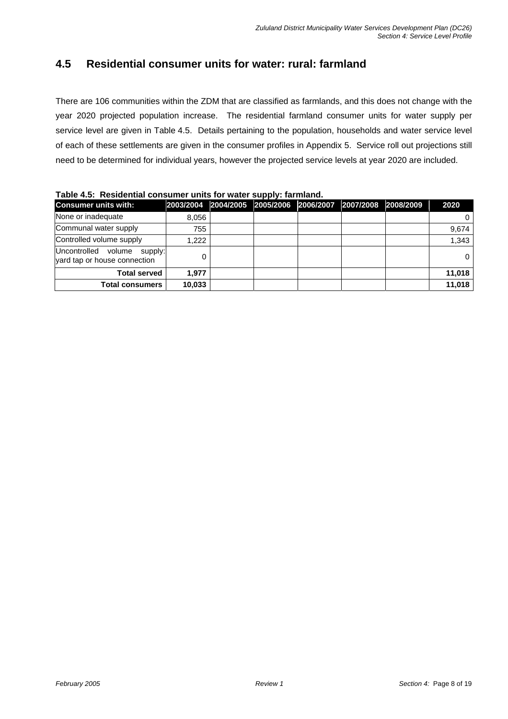### **4.5 Residential consumer units for water: rural: farmland**

There are 106 communities within the ZDM that are classified as farmlands, and this does not change with the year 2020 projected population increase. The residential farmland consumer units for water supply per service level are given in Table 4.5. Details pertaining to the population, households and water service level of each of these settlements are given in the consumer profiles in Appendix 5. Service roll out projections still need to be determined for individual years, however the projected service levels at year 2020 are included.

#### **Table 4.5: Residential consumer units for water supply: farmland.**

| <b>Consumer units with:</b>                                 |        |  | 2003/2004 2004/2005 2005/2006 2006/2007 2007/2008 2008/2009 |  | 2020   |
|-------------------------------------------------------------|--------|--|-------------------------------------------------------------|--|--------|
| None or inadequate                                          | 8.056  |  |                                                             |  | 0      |
| Communal water supply                                       | 755    |  |                                                             |  | 9,674  |
| Controlled volume supply                                    | 1,222  |  |                                                             |  | 1,343  |
| Uncontrolled volume supply:<br>yard tap or house connection |        |  |                                                             |  | 0      |
| <b>Total served</b>                                         | 1.977  |  |                                                             |  | 11.018 |
| <b>Total consumers</b>                                      | 10,033 |  |                                                             |  | 11,018 |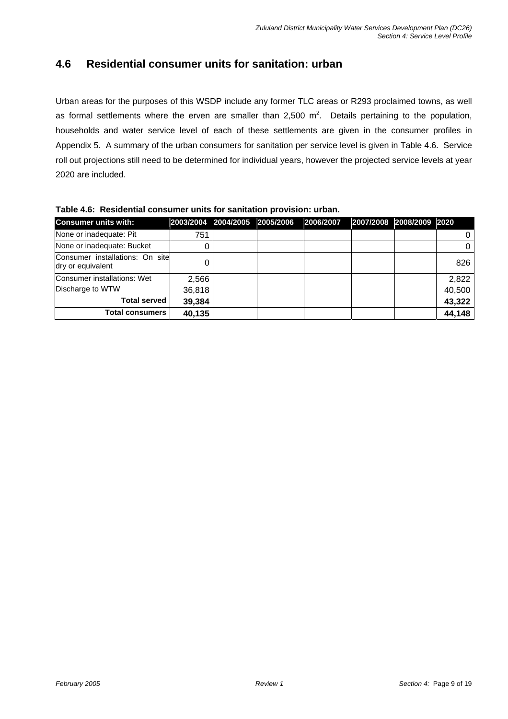### **4.6 Residential consumer units for sanitation: urban**

Urban areas for the purposes of this WSDP include any former TLC areas or R293 proclaimed towns, as well as formal settlements where the erven are smaller than 2,500  $m^2$ . Details pertaining to the population, households and water service level of each of these settlements are given in the consumer profiles in Appendix 5. A summary of the urban consumers for sanitation per service level is given in Table 4.6. Service roll out projections still need to be determined for individual years, however the projected service levels at year 2020 are included.

**Table 4.6: Residential consumer units for sanitation provision: urban.** 

| <b>Consumer units with:</b>                          | 2003/2004 | 2004/2005 2005/2006 | 2006/2007 | 2007/2008 2008/2009 2020 |        |
|------------------------------------------------------|-----------|---------------------|-----------|--------------------------|--------|
| None or inadequate: Pit                              | 751       |                     |           |                          |        |
| None or inadequate: Bucket                           | O         |                     |           |                          |        |
| Consumer installations: On site<br>dry or equivalent |           |                     |           |                          | 826    |
| Consumer installations: Wet                          | 2,566     |                     |           |                          | 2,822  |
| Discharge to WTW                                     | 36,818    |                     |           |                          | 40,500 |
| <b>Total served</b>                                  | 39,384    |                     |           |                          | 43,322 |
| <b>Total consumers</b>                               | 40,135    |                     |           |                          | 44,148 |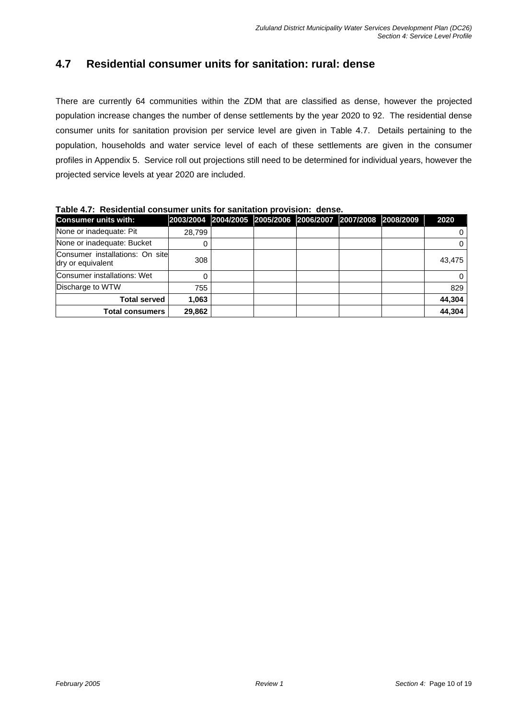### **4.7 Residential consumer units for sanitation: rural: dense**

There are currently 64 communities within the ZDM that are classified as dense, however the projected population increase changes the number of dense settlements by the year 2020 to 92. The residential dense consumer units for sanitation provision per service level are given in Table 4.7. Details pertaining to the population, households and water service level of each of these settlements are given in the consumer profiles in Appendix 5. Service roll out projections still need to be determined for individual years, however the projected service levels at year 2020 are included.

#### **Table 4.7: Residential consumer units for sanitation provision: dense.**

| <b>Consumer units with:</b>                          |        |  | 2003/2004 2004/2005 2005/2006 2006/2007 2007/2008 2008/2009 |  | 2020   |
|------------------------------------------------------|--------|--|-------------------------------------------------------------|--|--------|
| None or inadequate: Pit                              | 28,799 |  |                                                             |  |        |
| None or inadequate: Bucket                           |        |  |                                                             |  |        |
| Consumer installations: On site<br>dry or equivalent | 308    |  |                                                             |  | 43,475 |
| Consumer installations: Wet                          |        |  |                                                             |  |        |
| Discharge to WTW                                     | 755    |  |                                                             |  | 829    |
| <b>Total served</b>                                  | 1,063  |  |                                                             |  | 44,304 |
| <b>Total consumers</b>                               | 29,862 |  |                                                             |  | 44,304 |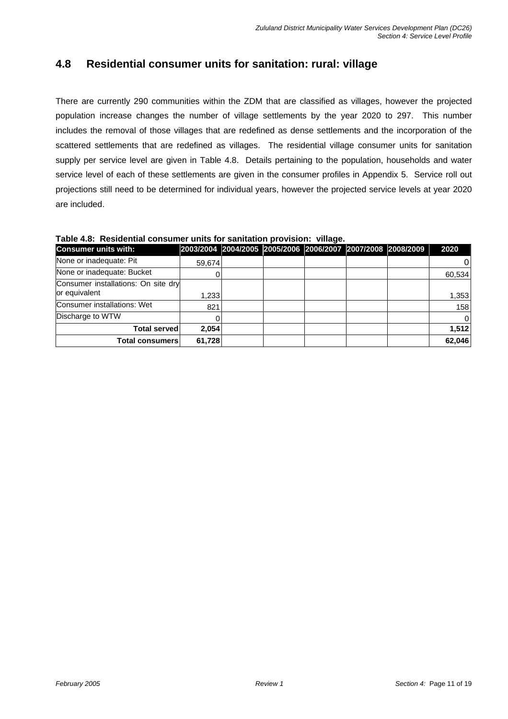### **4.8 Residential consumer units for sanitation: rural: village**

There are currently 290 communities within the ZDM that are classified as villages, however the projected population increase changes the number of village settlements by the year 2020 to 297. This number includes the removal of those villages that are redefined as dense settlements and the incorporation of the scattered settlements that are redefined as villages. The residential village consumer units for sanitation supply per service level are given in Table 4.8. Details pertaining to the population, households and water service level of each of these settlements are given in the consumer profiles in Appendix 5. Service roll out projections still need to be determined for individual years, however the projected service levels at year 2020 are included.

#### **Table 4.8: Residential consumer units for sanitation provision: village.**

| <b>Consumer units with:</b>                          |        |  | 2003/2004 2004/2005 2005/2006 2006/2007 2007/2008 2008/2009 |  | 2020     |
|------------------------------------------------------|--------|--|-------------------------------------------------------------|--|----------|
| None or inadequate: Pit                              | 59,674 |  |                                                             |  | 0        |
| None or inadequate: Bucket                           |        |  |                                                             |  | 60,534   |
| Consumer installations: On site dry<br>or equivalent | .233   |  |                                                             |  | 1,353    |
| Consumer installations: Wet                          | 821    |  |                                                             |  | 158      |
| Discharge to WTW                                     |        |  |                                                             |  | $\Omega$ |
| Total served l                                       | 2,054  |  |                                                             |  | 1,512    |
| Total consumers                                      | 61,728 |  |                                                             |  | 62,046   |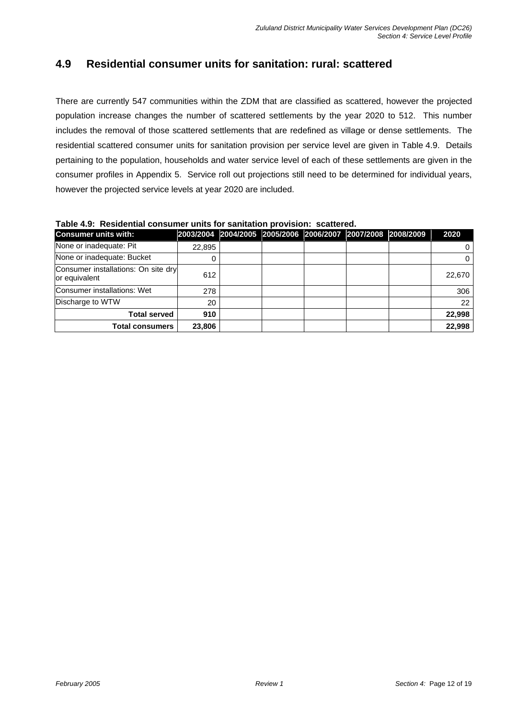### **4.9 Residential consumer units for sanitation: rural: scattered**

There are currently 547 communities within the ZDM that are classified as scattered, however the projected population increase changes the number of scattered settlements by the year 2020 to 512. This number includes the removal of those scattered settlements that are redefined as village or dense settlements. The residential scattered consumer units for sanitation provision per service level are given in Table 4.9. Details pertaining to the population, households and water service level of each of these settlements are given in the consumer profiles in Appendix 5. Service roll out projections still need to be determined for individual years, however the projected service levels at year 2020 are included.

#### **Table 4.9: Residential consumer units for sanitation provision: scattered.**

| <b>Consumer units with:</b>                          |        |  | 2003/2004 2004/2005 2005/2006 2006/2007 2007/2008 2008/2009 |  | 2020   |
|------------------------------------------------------|--------|--|-------------------------------------------------------------|--|--------|
| None or inadequate: Pit                              | 22,895 |  |                                                             |  |        |
| None or inadequate: Bucket                           |        |  |                                                             |  |        |
| Consumer installations: On site dry<br>or equivalent | 612    |  |                                                             |  | 22,670 |
| Consumer installations: Wet                          | 278    |  |                                                             |  | 306    |
| Discharge to WTW                                     | 20     |  |                                                             |  | 22     |
| <b>Total served</b>                                  | 910    |  |                                                             |  | 22,998 |
| <b>Total consumers</b>                               | 23,806 |  |                                                             |  | 22,998 |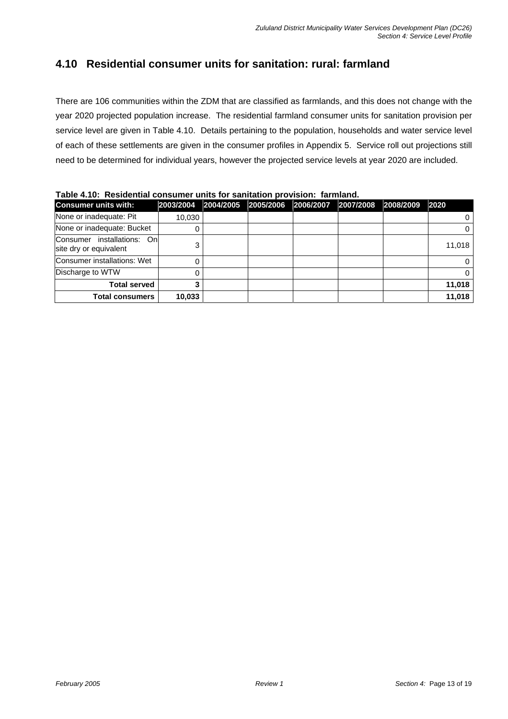### **4.10 Residential consumer units for sanitation: rural: farmland**

There are 106 communities within the ZDM that are classified as farmlands, and this does not change with the year 2020 projected population increase. The residential farmland consumer units for sanitation provision per service level are given in Table 4.10. Details pertaining to the population, households and water service level of each of these settlements are given in the consumer profiles in Appendix 5. Service roll out projections still need to be determined for individual years, however the projected service levels at year 2020 are included.

**Total served 3 11,018 Total consumers 10,033 11,018**

| TADIC 4.TV. TVCSIUCHUAI CONSUNICI UNIUS IOI SANIIAUON DIOVISION. TANINANU. |        |  |  |                                                             |  |  |        |  |  |  |  |
|----------------------------------------------------------------------------|--------|--|--|-------------------------------------------------------------|--|--|--------|--|--|--|--|
| <b>Consumer units with:</b>                                                |        |  |  | 2003/2004 2004/2005 2005/2006 2006/2007 2007/2008 2008/2009 |  |  | 2020   |  |  |  |  |
| None or inadequate: Pit                                                    | 10.030 |  |  |                                                             |  |  |        |  |  |  |  |
| None or inadequate: Bucket                                                 |        |  |  |                                                             |  |  |        |  |  |  |  |
| Consumer installations: Onl<br>site dry or equivalent                      |        |  |  |                                                             |  |  | 11,018 |  |  |  |  |
| Consumer installations: Wet                                                |        |  |  |                                                             |  |  |        |  |  |  |  |
| Discharge to WTW                                                           |        |  |  |                                                             |  |  |        |  |  |  |  |

**Table 4.10: Residential consumer units for sanitation provision: farmland.**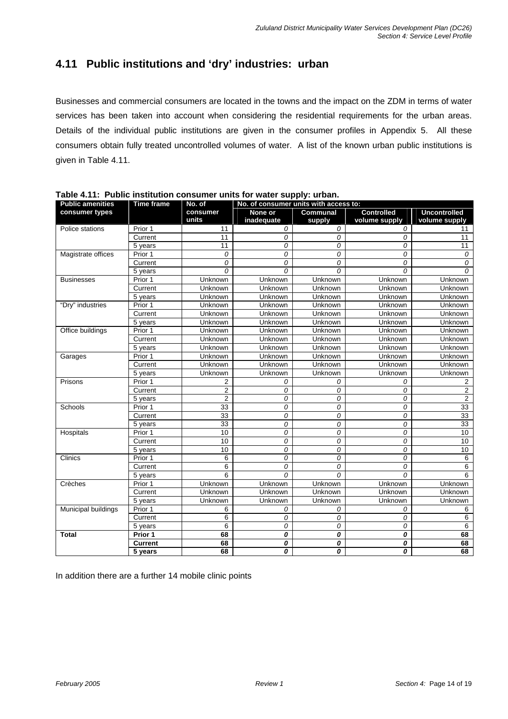# **4.11 Public institutions and 'dry' industries: urban**

Businesses and commercial consumers are located in the towns and the impact on the ZDM in terms of water services has been taken into account when considering the residential requirements for the urban areas. Details of the individual public institutions are given in the consumer profiles in Appendix 5. All these consumers obtain fully treated uncontrolled volumes of water. A list of the known urban public institutions is given in Table 4.11.

| <b>Public amenities</b> | <b>Time frame</b> | No. of            | No. of consumer units with access to: |                           |                                    |                                      |  |  |  |  |
|-------------------------|-------------------|-------------------|---------------------------------------|---------------------------|------------------------------------|--------------------------------------|--|--|--|--|
| consumer types          |                   | consumer<br>units | None or<br>inadequate                 | <b>Communal</b><br>supply | <b>Controlled</b><br>volume supply | <b>Uncontrolled</b><br>volume supply |  |  |  |  |
| Police stations         | Prior 1           | 11                | 0                                     | 0                         | 0                                  | 11                                   |  |  |  |  |
|                         | Current           | 11                | 0                                     | $\mathcal{O}$             | 0                                  | 11                                   |  |  |  |  |
|                         | 5 years           | 11                | 0                                     | $\mathcal{O}$             | 0                                  | 11                                   |  |  |  |  |
| Magistrate offices      | Prior 1           | 0                 | 0                                     | 0                         | 0                                  | 0                                    |  |  |  |  |
|                         | Current           | 0                 | $\Omega$                              | $\overline{O}$            | 0                                  | 0                                    |  |  |  |  |
|                         | 5 years           | $\Omega$          | $\Omega$                              | $\Omega$                  | $\Omega$                           | $\Omega$                             |  |  |  |  |
| <b>Businesses</b>       | Prior 1           | Unknown           | Unknown                               | Unknown                   | Unknown                            | Unknown                              |  |  |  |  |
|                         | Current           | Unknown           | Unknown                               | Unknown                   | Unknown                            | Unknown                              |  |  |  |  |
|                         | 5 years           | Unknown           | Unknown                               | Unknown                   | Unknown                            | Unknown                              |  |  |  |  |
| "Dry" industries        | Prior 1           | Unknown           | Unknown                               | Unknown                   | Unknown                            | Unknown                              |  |  |  |  |
|                         | Current           | Unknown           | Unknown                               | Unknown                   | Unknown                            | Unknown                              |  |  |  |  |
|                         | 5 years           | Unknown           | Unknown                               | Unknown                   | Unknown                            | Unknown                              |  |  |  |  |
| Office buildings        | Prior 1           | Unknown           | Unknown                               | Unknown                   | Unknown                            | Unknown                              |  |  |  |  |
|                         | Current           | Unknown           | Unknown                               | Unknown                   | Unknown                            | Unknown                              |  |  |  |  |
|                         | 5 years           | Unknown           | Unknown                               | Unknown                   | Unknown                            | Unknown                              |  |  |  |  |
| Garages                 | Prior 1           | Unknown           | Unknown                               | Unknown                   | Unknown                            | Unknown                              |  |  |  |  |
|                         | Current           | Unknown           | Unknown                               | Unknown                   | Unknown                            | Unknown                              |  |  |  |  |
|                         | 5 years           | Unknown           | Unknown                               | Unknown                   | Unknown                            | Unknown                              |  |  |  |  |
| Prisons                 | Prior 1           | 2                 | 0                                     | 0                         | 0                                  | 2                                    |  |  |  |  |
|                         | Current           | $\overline{2}$    | 0                                     | $\mathcal{O}$             | 0                                  | $\overline{2}$                       |  |  |  |  |
|                         | 5 years           | $\overline{2}$    | 0                                     | $\mathcal{O}$             | 0                                  | $\overline{2}$                       |  |  |  |  |
| Schools                 | Prior 1           | $\overline{33}$   | 0                                     | 0                         | 0                                  | $\overline{33}$                      |  |  |  |  |
|                         | Current           | 33                | 0                                     | 0                         | 0                                  | 33                                   |  |  |  |  |
|                         | 5 years           | 33                | 0                                     | 0                         | 0                                  | 33                                   |  |  |  |  |
| Hospitals               | Prior 1           | 10                | 0                                     | 0                         | 0                                  | 10                                   |  |  |  |  |
|                         | Current           | 10                | 0                                     | 0                         | 0                                  | 10                                   |  |  |  |  |
|                         | 5 years           | 10                | 0                                     | 0                         | 0                                  | 10                                   |  |  |  |  |
| Clinics                 | Prior 1           | 6                 | 0                                     | $\overline{O}$            | 0                                  | 6                                    |  |  |  |  |
|                         | Current           | 6                 | 0                                     | $\overline{O}$            | 0                                  | 6                                    |  |  |  |  |
|                         | 5 years           | 6                 | $\Omega$                              | $\Omega$                  | $\Omega$                           | 6                                    |  |  |  |  |
| Crèches                 | Prior 1           | Unknown           | Unknown                               | Unknown                   | Unknown                            | Unknown                              |  |  |  |  |
|                         | Current           | Unknown           | Unknown                               | Unknown                   | Unknown                            | Unknown                              |  |  |  |  |
|                         | 5 years           | Unknown           | Unknown                               | Unknown                   | Unknown                            | Unknown                              |  |  |  |  |
| Municipal buildings     | Prior 1           | 6                 | 0                                     | 0                         | 0                                  | 6                                    |  |  |  |  |
|                         | Current           | 6                 | 0                                     | $\mathcal{O}$             | 0                                  | 6                                    |  |  |  |  |
|                         | 5 years           | 6                 | 0                                     | 0                         | 0                                  | 6                                    |  |  |  |  |
| <b>Total</b>            | Prior 1           | 68                | 0                                     | 0                         | 0                                  | 68                                   |  |  |  |  |
|                         | <b>Current</b>    | 68                | 0                                     | 0                         | 0                                  | 68                                   |  |  |  |  |
|                         | 5 years           | 68                | 0                                     | 0                         | 0                                  | 68                                   |  |  |  |  |

**Table 4.11: Public institution consumer units for water supply: urban.** 

In addition there are a further 14 mobile clinic points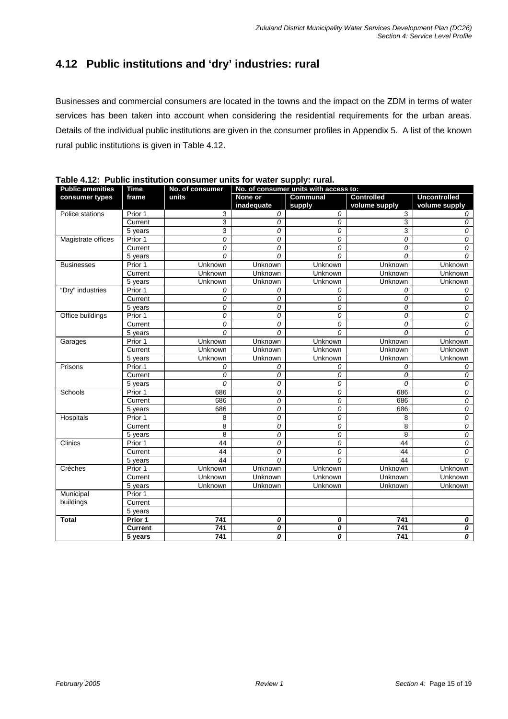# **4.12 Public institutions and 'dry' industries: rural**

Businesses and commercial consumers are located in the towns and the impact on the ZDM in terms of water services has been taken into account when considering the residential requirements for the urban areas. Details of the individual public institutions are given in the consumer profiles in Appendix 5. A list of the known rural public institutions is given in Table 4.12.

| <b>Public amenities</b> | <b>Time</b>    | No. of consumer | 100<br>No. of consumer units with access to: |                    |                                    |                                      |  |  |  |  |
|-------------------------|----------------|-----------------|----------------------------------------------|--------------------|------------------------------------|--------------------------------------|--|--|--|--|
| consumer types          | frame          | units           | None or<br>inadequate                        | Communal<br>supply | <b>Controlled</b><br>volume supply | <b>Uncontrolled</b><br>volume supply |  |  |  |  |
| Police stations         | Prior 1        | 3               | 0                                            | 0                  | 3                                  | 0                                    |  |  |  |  |
|                         | Current        | 3               | 0                                            | $\Omega$           | 3                                  | 0                                    |  |  |  |  |
|                         | 5 years        | 3               | 0                                            | 0                  | 3                                  | 0                                    |  |  |  |  |
| Magistrate offices      | Prior 1        | 0               | 0                                            | 0                  | 0                                  | 0                                    |  |  |  |  |
|                         | Current        | 0               | 0                                            | 0                  | 0                                  | 0                                    |  |  |  |  |
|                         | 5 years        | 0               | $\Omega$                                     | $\Omega$           | 0                                  | 0                                    |  |  |  |  |
| <b>Businesses</b>       | Prior 1        | Unknown         | Unknown                                      | Unknown            | Unknown                            | Unknown                              |  |  |  |  |
|                         | Current        | Unknown         | Unknown                                      | Unknown            | Unknown                            | Unknown                              |  |  |  |  |
|                         | 5 years        | Unknown         | Unknown                                      | Unknown            | Unknown                            | Unknown                              |  |  |  |  |
| "Dry" industries        | Prior 1        | 0               | 0                                            | 0                  | 0                                  | 0                                    |  |  |  |  |
|                         | Current        | 0               | 0                                            | 0                  | 0                                  | 0                                    |  |  |  |  |
|                         | 5 years        | 0               | 0                                            | 0                  | 0                                  | 0                                    |  |  |  |  |
| Office buildings        | Prior 1        | 0               | 0                                            | 0                  | 0                                  | 0                                    |  |  |  |  |
|                         | Current        | 0               | 0                                            | 0                  | 0                                  | 0                                    |  |  |  |  |
|                         | 5 years        | 0               | 0                                            | $\Omega$           | 0                                  | 0                                    |  |  |  |  |
| Garages                 | Prior 1        | Unknown         | Unknown                                      | Unknown            | Unknown                            | Unknown                              |  |  |  |  |
|                         | Current        | Unknown         | Unknown                                      | Unknown            | Unknown                            | Unknown                              |  |  |  |  |
|                         | 5 years        | Unknown         | Unknown                                      | Unknown            | Unknown                            | Unknown                              |  |  |  |  |
| Prisons                 | Prior 1        | 0               | 0                                            | 0                  | 0                                  | 0                                    |  |  |  |  |
|                         | Current        | 0               | 0                                            | 0                  | 0                                  | 0                                    |  |  |  |  |
|                         | 5 years        | 0               | 0                                            | 0                  | 0                                  | 0                                    |  |  |  |  |
| Schools                 | Prior 1        | 686             | 0                                            | 0                  | 686                                | 0                                    |  |  |  |  |
|                         | Current        | 686             | 0                                            | 0                  | 686                                | 0                                    |  |  |  |  |
|                         | 5 years        | 686             | 0                                            | 0                  | 686                                | 0                                    |  |  |  |  |
| Hospitals               | Prior 1        | 8               | 0                                            | 0                  | 8                                  | 0                                    |  |  |  |  |
|                         | Current        | 8               | 0                                            | 0                  | 8                                  | 0                                    |  |  |  |  |
|                         | 5 years        | 8               | 0                                            | 0                  | 8                                  | 0                                    |  |  |  |  |
| Clinics                 | Prior 1        | 44              | 0                                            | 0                  | 44                                 | 0                                    |  |  |  |  |
|                         | Current        | 44              | 0                                            | 0                  | 44                                 | 0                                    |  |  |  |  |
|                         | 5 years        | 44              | $\Omega$                                     | $\Omega$           | 44                                 | $\Omega$                             |  |  |  |  |
| Crèches                 | Prior 1        | Unknown         | Unknown                                      | Unknown            | Unknown                            | <b>Unknown</b>                       |  |  |  |  |
|                         | Current        | Unknown         | Unknown                                      | Unknown            | Unknown                            | Unknown                              |  |  |  |  |
|                         | 5 years        | Unknown         | Unknown                                      | Unknown            | Unknown                            | Unknown                              |  |  |  |  |
| Municipal               | Prior 1        |                 |                                              |                    |                                    |                                      |  |  |  |  |
| buildings               | Current        |                 |                                              |                    |                                    |                                      |  |  |  |  |
|                         | 5 years        |                 |                                              |                    |                                    |                                      |  |  |  |  |
| <b>Total</b>            | Prior 1        | 741             | 0                                            | 0                  | 741                                | 0                                    |  |  |  |  |
|                         | <b>Current</b> | 741             | 0                                            | 0                  | 741                                | 0                                    |  |  |  |  |
|                         | 5 years        | 741             | 0                                            | 0                  | 741                                | 0                                    |  |  |  |  |

**Table 4.12: Public institution consumer units for water supply: rural.**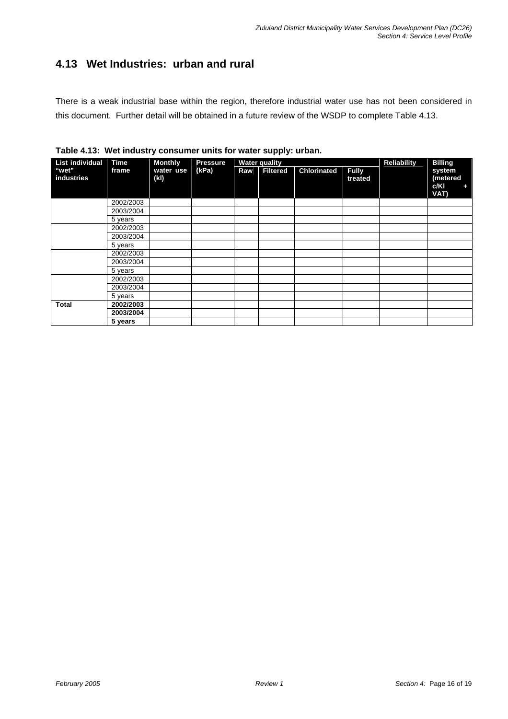# **4.13 Wet Industries: urban and rural**

There is a weak industrial base within the region, therefore industrial water use has not been considered in this document. Further detail will be obtained in a future review of the WSDP to complete Table 4.13.

|                     | <b>TAMIO</b> TITU. TIUL MUUUCI J UUMUUTUI UMILU TUI MULUI UUPPIJI UHUUMI |                   |                 |     |                      |                    |                         |                |                                         |  |  |  |  |
|---------------------|--------------------------------------------------------------------------|-------------------|-----------------|-----|----------------------|--------------------|-------------------------|----------------|-----------------------------------------|--|--|--|--|
| List individual     | <b>Time</b>                                                              | <b>Monthly</b>    | <b>Pressure</b> |     | <b>Water quality</b> |                    | <b>Reliability</b>      | <b>Billing</b> |                                         |  |  |  |  |
| "wet"<br>industries | frame                                                                    | water use<br>(kl) | (kPa)           | Raw | <b>Filtered</b>      | <b>Chlorinated</b> | <b>Fully</b><br>treated |                | system<br>(metered<br>c/KI<br>٠<br>VAT) |  |  |  |  |
|                     | 2002/2003                                                                |                   |                 |     |                      |                    |                         |                |                                         |  |  |  |  |
|                     | 2003/2004                                                                |                   |                 |     |                      |                    |                         |                |                                         |  |  |  |  |
|                     | 5 years                                                                  |                   |                 |     |                      |                    |                         |                |                                         |  |  |  |  |
|                     | 2002/2003                                                                |                   |                 |     |                      |                    |                         |                |                                         |  |  |  |  |
|                     | 2003/2004                                                                |                   |                 |     |                      |                    |                         |                |                                         |  |  |  |  |
|                     | 5 years                                                                  |                   |                 |     |                      |                    |                         |                |                                         |  |  |  |  |
|                     | 2002/2003                                                                |                   |                 |     |                      |                    |                         |                |                                         |  |  |  |  |
|                     | 2003/2004                                                                |                   |                 |     |                      |                    |                         |                |                                         |  |  |  |  |
|                     | 5 years                                                                  |                   |                 |     |                      |                    |                         |                |                                         |  |  |  |  |
|                     | 2002/2003                                                                |                   |                 |     |                      |                    |                         |                |                                         |  |  |  |  |
|                     | 2003/2004                                                                |                   |                 |     |                      |                    |                         |                |                                         |  |  |  |  |
|                     | 5 years                                                                  |                   |                 |     |                      |                    |                         |                |                                         |  |  |  |  |
| <b>Total</b>        | 2002/2003                                                                |                   |                 |     |                      |                    |                         |                |                                         |  |  |  |  |
|                     | 2003/2004                                                                |                   |                 |     |                      |                    |                         |                |                                         |  |  |  |  |
|                     | 5 years                                                                  |                   |                 |     |                      |                    |                         |                |                                         |  |  |  |  |

**Table 4.13: Wet industry consumer units for water supply: urban.**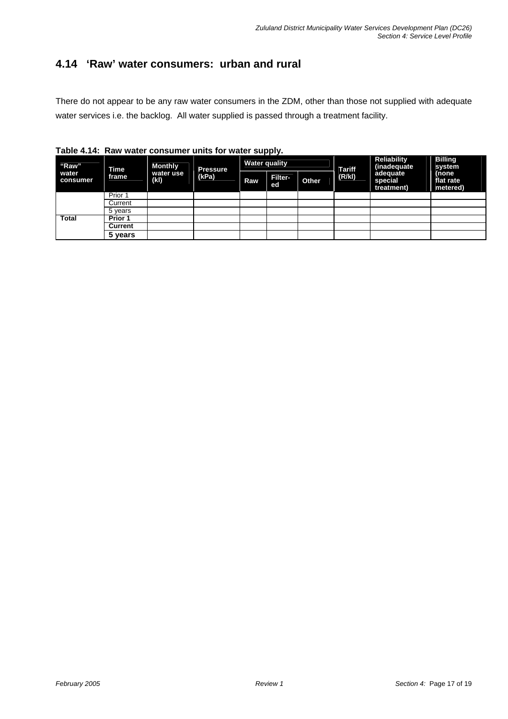### **4.14 'Raw' water consumers: urban and rural**

There do not appear to be any raw water consumers in the ZDM, other than those not supplied with adequate water services i.e. the backlog. All water supplied is passed through a treatment facility.

|                            |               |                                    | rable 4.14. Naw water consumer units for water supply. |                      |                      |              |               |                                    |                                |  |
|----------------------------|---------------|------------------------------------|--------------------------------------------------------|----------------------|----------------------|--------------|---------------|------------------------------------|--------------------------------|--|
| "Raw"<br>water<br>consumer | Time<br>frame | <b>Monthly</b><br>water use<br>(k) | <b>Pressure</b><br>(kPa)                               | <b>Water quality</b> |                      |              | <b>Tariff</b> | <b>Reliability</b><br>(inadequate) | <b>Billing</b><br>system       |  |
|                            |               |                                    |                                                        | Raw                  | <b>Filter-</b><br>ed | <b>Other</b> | (R/k)         | adequate<br>special<br>treatment)  | (none<br>flat rate<br>metered) |  |
|                            | Prior 1       |                                    |                                                        |                      |                      |              |               |                                    |                                |  |
|                            | Current       |                                    |                                                        |                      |                      |              |               |                                    |                                |  |
|                            | 5 vears       |                                    |                                                        |                      |                      |              |               |                                    |                                |  |
| <b>Total</b>               | Prior 1       |                                    |                                                        |                      |                      |              |               |                                    |                                |  |
|                            | Current       |                                    |                                                        |                      |                      |              |               |                                    |                                |  |
|                            | 5 years       |                                    |                                                        |                      |                      |              |               |                                    |                                |  |

**Table 4.14: Raw water consumer units for water supply.**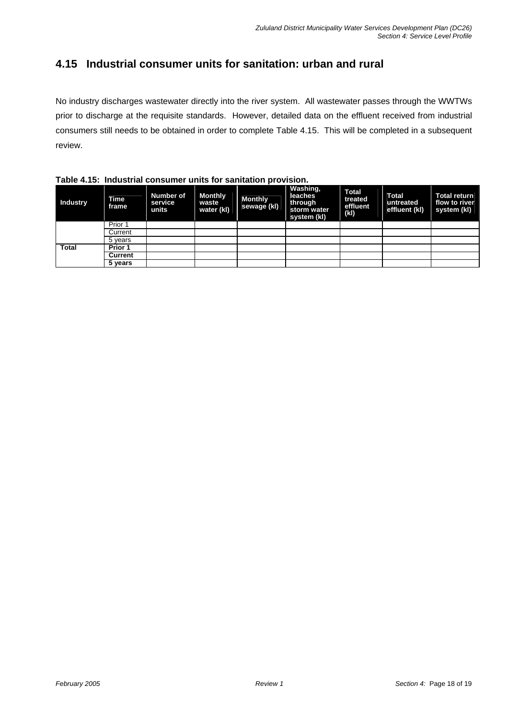### **4.15 Industrial consumer units for sanitation: urban and rural**

No industry discharges wastewater directly into the river system. All wastewater passes through the WWTWs prior to discharge at the requisite standards. However, detailed data on the effluent received from industrial consumers still needs to be obtained in order to complete Table 4.15. This will be completed in a subsequent review.

**Industry frame Number of service units Monthly waste water (kl) Monthly sewage (kl) Washing, leaches through storm water system (kl) Total treated effluent (kl) Total untreated effluent (kl) Total return flow to river system (kl)** Prior 1 **Current** 5 years **Prior 1 Current Total 5 years**

**Table 4.15: Industrial consumer units for sanitation provision.**